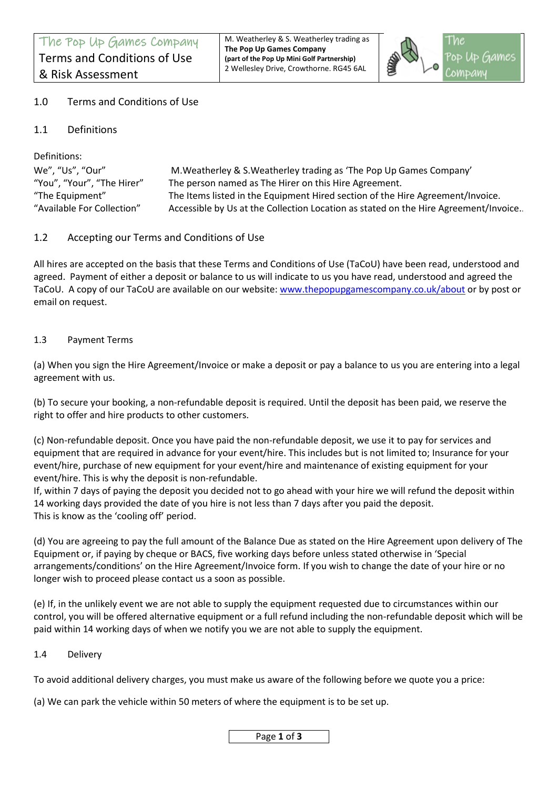M. Weatherley & S. Weatherley trading as **The Pop Up Games Company (part of the Pop Up Mini Golf Partnership)** 2 Wellesley Drive, Crowthorne. RG45 6AL



# 1.0 Terms and Conditions of Use

1.1 Definitions

Definitions:

We", "Us", "Our" M.Weatherley & S.Weatherley trading as 'The Pop Up Games Company' "You", "Your", "The Hirer" The person named as The Hirer on this Hire Agreement. "The Equipment" The Items listed in the Equipment Hired section of the Hire Agreement/Invoice. "Available For Collection" Accessible by Us at the Collection Location as stated on the Hire Agreement/Invoice..

# 1.2 Accepting our Terms and Conditions of Use

All hires are accepted on the basis that these Terms and Conditions of Use (TaCoU) have been read, understood and agreed. Payment of either a deposit or balance to us will indicate to us you have read, understood and agreed the TaCoU. A copy of our TaCoU are available on our website[: www.thepopupgamescompany.co.uk/](http://www.thepopupgamescompany.co.uk/)about or by post or email on request.

### 1.3 Payment Terms

(a) When you sign the Hire Agreement/Invoice or make a deposit or pay a balance to us you are entering into a legal agreement with us.

(b) To secure your booking, a non-refundable deposit is required. Until the deposit has been paid, we reserve the right to offer and hire products to other customers.

(c) Non-refundable deposit. Once you have paid the non-refundable deposit, we use it to pay for services and equipment that are required in advance for your event/hire. This includes but is not limited to; Insurance for your event/hire, purchase of new equipment for your event/hire and maintenance of existing equipment for your event/hire. This is why the deposit is non-refundable.

If, within 7 days of paying the deposit you decided not to go ahead with your hire we will refund the deposit within 14 working days provided the date of you hire is not less than 7 days after you paid the deposit. This is know as the 'cooling off' period.

(d) You are agreeing to pay the full amount of the Balance Due as stated on the Hire Agreement upon delivery of The Equipment or, if paying by cheque or BACS, five working days before unless stated otherwise in 'Special arrangements/conditions' on the Hire Agreement/Invoice form. If you wish to change the date of your hire or no longer wish to proceed please contact us a soon as possible.

(e) If, in the unlikely event we are not able to supply the equipment requested due to circumstances within our control, you will be offered alternative equipment or a full refund including the non-refundable deposit which will be paid within 14 working days of when we notify you we are not able to supply the equipment.

1.4 Delivery

To avoid additional delivery charges, you must make us aware of the following before we quote you a price:

(a) We can park the vehicle within 50 meters of where the equipment is to be set up.

Page **1** of **3**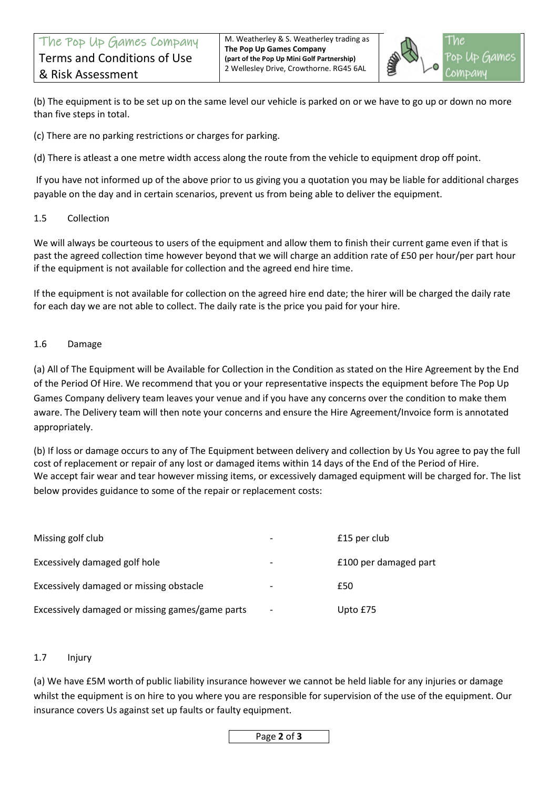

(b) The equipment is to be set up on the same level our vehicle is parked on or we have to go up or down no more than five steps in total.

(c) There are no parking restrictions or charges for parking.

(d) There is atleast a one metre width access along the route from the vehicle to equipment drop off point.

If you have not informed up of the above prior to us giving you a quotation you may be liable for additional charges payable on the day and in certain scenarios, prevent us from being able to deliver the equipment.

#### 1.5 Collection

We will always be courteous to users of the equipment and allow them to finish their current game even if that is past the agreed collection time however beyond that we will charge an addition rate of £50 per hour/per part hour if the equipment is not available for collection and the agreed end hire time.

If the equipment is not available for collection on the agreed hire end date; the hirer will be charged the daily rate for each day we are not able to collect. The daily rate is the price you paid for your hire.

#### 1.6 Damage

(a) All of The Equipment will be Available for Collection in the Condition as stated on the Hire Agreement by the End of the Period Of Hire. We recommend that you or your representative inspects the equipment before The Pop Up Games Company delivery team leaves your venue and if you have any concerns over the condition to make them aware. The Delivery team will then note your concerns and ensure the Hire Agreement/Invoice form is annotated appropriately.

(b) If loss or damage occurs to any of The Equipment between delivery and collection by Us You agree to pay the full cost of replacement or repair of any lost or damaged items within 14 days of the End of the Period of Hire. We accept fair wear and tear however missing items, or excessively damaged equipment will be charged for. The list below provides guidance to some of the repair or replacement costs:

| Missing golf club<br>Excessively damaged golf hole | $\overline{\phantom{a}}$<br>$\overline{\phantom{a}}$ | £15 per club          |
|----------------------------------------------------|------------------------------------------------------|-----------------------|
|                                                    |                                                      | £100 per damaged part |
| Excessively damaged or missing obstacle            |                                                      | £50                   |
| Excessively damaged or missing games/game parts    | $\overline{\phantom{a}}$                             | Upto £75              |

### 1.7 Injury

(a) We have £5M worth of public liability insurance however we cannot be held liable for any injuries or damage whilst the equipment is on hire to you where you are responsible for supervision of the use of the equipment. Our insurance covers Us against set up faults or faulty equipment.

Page **2** of **3**